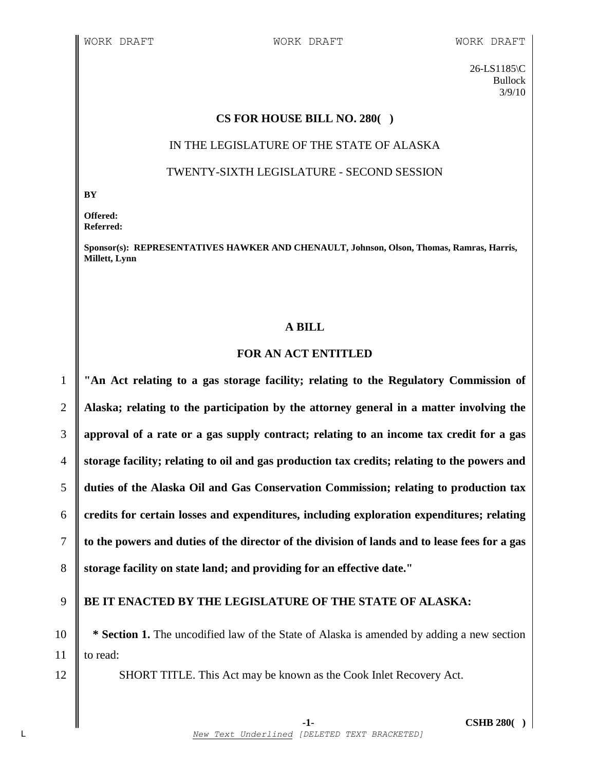26-LS1185\C Bullock 3/9/10

## **CS FOR HOUSE BILL NO. 280( )**

### IN THE LEGISLATURE OF THE STATE OF ALASKA

### TWENTY-SIXTH LEGISLATURE - SECOND SESSION

**BY**

**Offered: Referred:** 

**Sponsor(s): REPRESENTATIVES HAWKER AND CHENAULT, Johnson, Olson, Thomas, Ramras, Harris, Millett, Lynn**

#### **A BILL**

## **FOR AN ACT ENTITLED**

 **"An Act relating to a gas storage facility; relating to the Regulatory Commission of Alaska; relating to the participation by the attorney general in a matter involving the approval of a rate or a gas supply contract; relating to an income tax credit for a gas storage facility; relating to oil and gas production tax credits; relating to the powers and duties of the Alaska Oil and Gas Conservation Commission; relating to production tax credits for certain losses and expenditures, including exploration expenditures; relating** 7 to the powers and duties of the director of the division of lands and to lease fees for a gas **storage facility on state land; and providing for an effective date."**

# 9 **BE IT ENACTED BY THE LEGISLATURE OF THE STATE OF ALASKA:**

10 **\* Section 1.** The uncodified law of the State of Alaska is amended by adding a new section 11 **l** to read:

12 SHORT TITLE. This Act may be known as the Cook Inlet Recovery Act.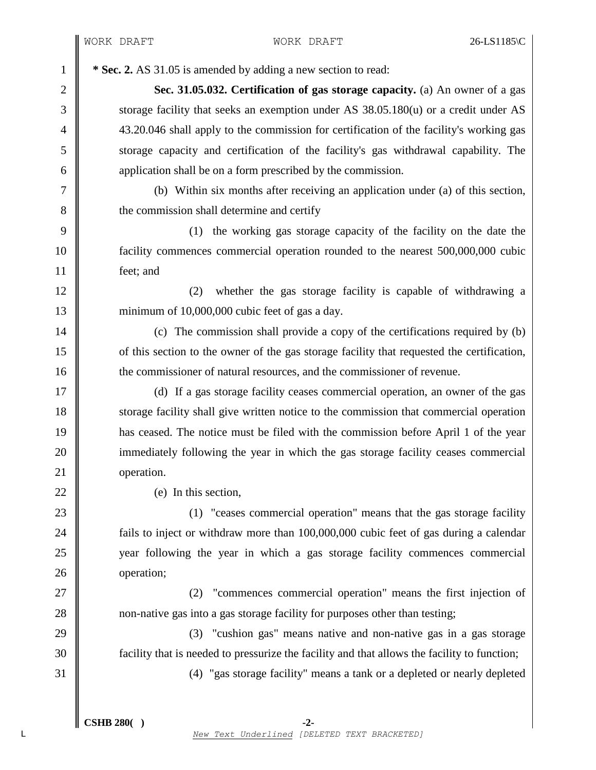<sup>1</sup> **\* Sec. 2.** AS 31.05 is amended by adding a new section to read:

2 **Sec. 31.05.032. Certification of gas storage capacity.** (a) An owner of a gas 3 Storage facility that seeks an exemption under AS 38.05.180(u) or a credit under AS 4 43.20.046 shall apply to the commission for certification of the facility's working gas 5 storage capacity and certification of the facility's gas withdrawal capability. The 6 **b** application shall be on a form prescribed by the commission.

7 (b) Within six months after receiving an application under (a) of this section, 8 **the commission shall determine and certify** 

9 (1) the working gas storage capacity of the facility on the date the 10 facility commences commercial operation rounded to the nearest 500,000,000 cubic 11 feet; and

12 || (2) whether the gas storage facility is capable of withdrawing a 13 minimum of 10,000,000 cubic feet of gas a day.

14 (c) The commission shall provide a copy of the certifications required by (b) 15 of this section to the owner of the gas storage facility that requested the certification, 16 the commissioner of natural resources, and the commissioner of revenue.

 (d) If a gas storage facility ceases commercial operation, an owner of the gas storage facility shall give written notice to the commission that commercial operation has ceased. The notice must be filed with the commission before April 1 of the year immediately following the year in which the gas storage facility ceases commercial 21 | operation.

22  $\parallel$  (e) In this section,

23 (1) "ceases commercial operation" means that the gas storage facility **fails to inject or withdraw more than 100,000,000 cubic feet of gas during a calendar**  year following the year in which a gas storage facility commences commercial **operation**;

27 (2) "commences commercial operation" means the first injection of 28 non-native gas into a gas storage facility for purposes other than testing;

29 (3) "cushion gas" means native and non-native gas in a gas storage 30 facility that is needed to pressurize the facility and that allows the facility to function;

31 (4) "gas storage facility" means a tank or a depleted or nearly depleted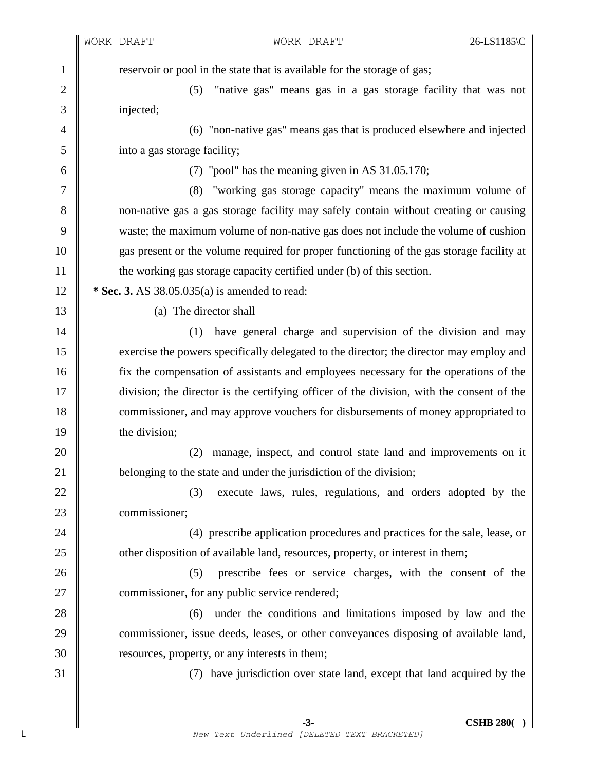1 reservoir or pool in the state that is available for the storage of gas; 2 || (5) "native gas" means gas in a gas storage facility that was not 3 injected; 4 (6) "non-native gas" means gas that is produced elsewhere and injected 5 into a gas storage facility; 6 (7) "pool" has the meaning given in AS 31.05.170; 7 (8) "working gas storage capacity" means the maximum volume of 8 non-native gas a gas storage facility may safely contain without creating or causing 9 waste; the maximum volume of non-native gas does not include the volume of cushion 10 gas present or the volume required for proper functioning of the gas storage facility at 11 **the working gas storage capacity certified under (b)** of this section. 12 **\* Sec. 3.** AS 38.05.035(a) is amended to read: 13 (a) The director shall 14 || (1) have general charge and supervision of the division and may 15 exercise the powers specifically delegated to the director; the director may employ and 16 fix the compensation of assistants and employees necessary for the operations of the 17 division; the director is the certifying officer of the division, with the consent of the 18 commissioner, and may approve vouchers for disbursements of money appropriated to 19 **the division**; 20 || (2) manage, inspect, and control state land and improvements on it 21 **belonging to the state and under the jurisdiction of the division;** 22 || (3) execute laws, rules, regulations, and orders adopted by the 23 **commissioner**; 24 (4) prescribe application procedures and practices for the sale, lease, or 25 other disposition of available land, resources, property, or interest in them; 26 (5) prescribe fees or service charges, with the consent of the 27 **commissioner**, for any public service rendered; 28 (6) under the conditions and limitations imposed by law and the 29 commissioner, issue deeds, leases, or other conveyances disposing of available land, 30 Sommary resources, property, or any interests in them; 31 (7) have jurisdiction over state land, except that land acquired by the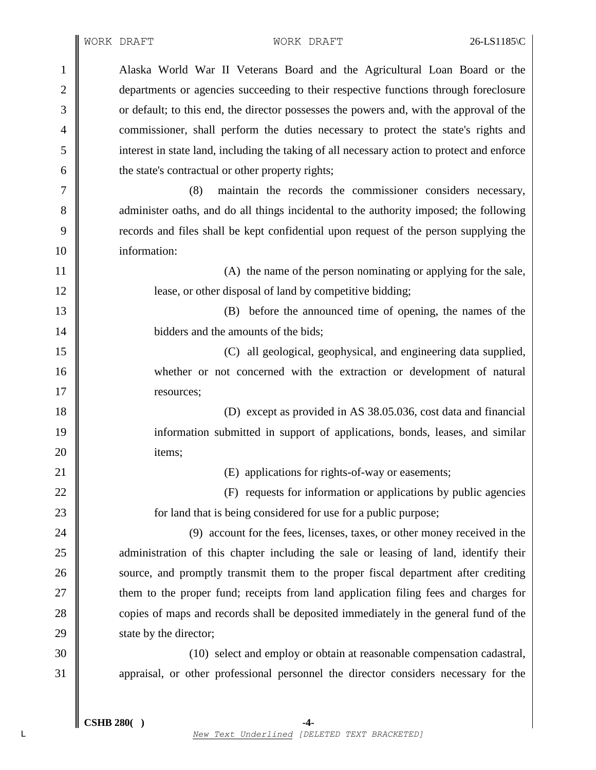Alaska World War II Veterans Board and the Agricultural Loan Board or the **departments** or agencies succeeding to their respective functions through foreclosure 3 or default; to this end, the director possesses the powers and, with the approval of the commissioner, shall perform the duties necessary to protect the state's rights and interest in state land, including the taking of all necessary action to protect and enforce  $\begin{array}{c|c}\n6 & \text{the state's contractual or other property rights;}\n\end{array}$  (8) maintain the records the commissioner considers necessary, 8 administer oaths, and do all things incidental to the authority imposed; the following records and files shall be kept confidential upon request of the person supplying the information: 11 || (A) the name of the person nominating or applying for the sale, **lease, or other disposal of land by competitive bidding;**  (B) before the announced time of opening, the names of the **bidders** and the amounts of the bids; (C) all geological, geophysical, and engineering data supplied, whether or not concerned with the extraction or development of natural **resources**; (D) except as provided in AS 38.05.036, cost data and financial information submitted in support of applications, bonds, leases, and similar 20 l items; 21 || (E) applications for rights-of-way or easements; 22 (F) requests for information or applications by public agencies **for land that is being considered for use for a public purpose;** 24 || (9) account for the fees, licenses, taxes, or other money received in the **a**dministration of this chapter including the sale or leasing of land, identify their 26 Source, and promptly transmit them to the proper fiscal department after crediting **them** to the proper fund; receipts from land application filing fees and charges for 28 copies of maps and records shall be deposited immediately in the general fund of the 29 State by the director;  $\parallel$  (10) select and employ or obtain at reasonable compensation cadastral, appraisal, or other professional personnel the director considers necessary for the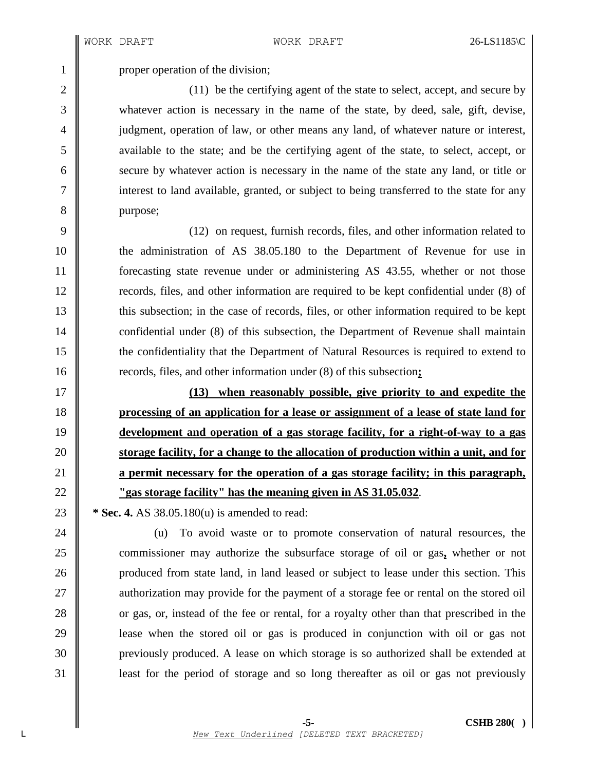1 | proper operation of the division;

2  $\parallel$  (11) be the certifying agent of the state to select, accept, and secure by whatever action is necessary in the name of the state, by deed, sale, gift, devise, 4 judgment, operation of law, or other means any land, of whatever nature or interest, available to the state; and be the certifying agent of the state, to select, accept, or 6 secure by whatever action is necessary in the name of the state any land, or title or interest to land available, granted, or subject to being transferred to the state for any 8 || purpose;

 (12) on request, furnish records, files, and other information related to the administration of AS 38.05.180 to the Department of Revenue for use in forecasting state revenue under or administering AS 43.55, whether or not those records, files, and other information are required to be kept confidential under (8) of 13 this subsection; in the case of records, files, or other information required to be kept **confidential under (8) of this subsection, the Department of Revenue shall maintain**  the confidentiality that the Department of Natural Resources is required to extend to records, files, and other information under (8) of this subsection**;**

 **(13) when reasonably possible, give priority to and expedite the processing of an application for a lease or assignment of a lease of state land for development and operation of a gas storage facility, for a right-of-way to a gas storage facility, for a change to the allocation of production within a unit, and for a permit necessary for the operation of a gas storage facility; in this paragraph, "gas storage facility" has the meaning given in AS 31.05.032**.

**\*** Sec. 4. AS 38.05.180(u) is amended to read:

24 (u) To avoid waste or to promote conservation of natural resources, the commissioner may authorize the subsurface storage of oil or gas**,** whether or not 26 produced from state land, in land leased or subject to lease under this section. This **a**uthorization may provide for the payment of a storage fee or rental on the stored oil 28 or gas, or, instead of the fee or rental, for a royalty other than that prescribed in the lease when the stored oil or gas is produced in conjunction with oil or gas not previously produced. A lease on which storage is so authorized shall be extended at **least for the period of storage and so long thereafter as oil or gas not previously**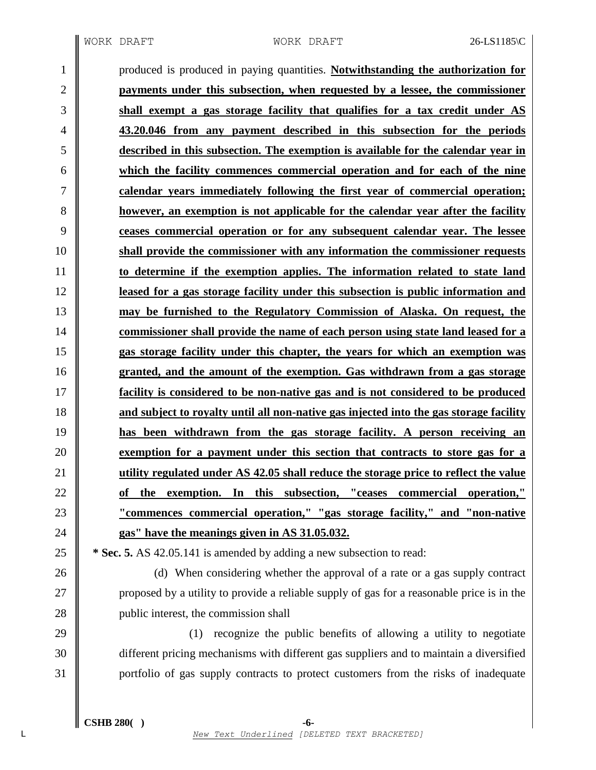produced is produced in paying quantities. **Notwithstanding the authorization for payments under this subsection, when requested by a lessee, the commissioner shall exempt a gas storage facility that qualifies for a tax credit under AS 43.20.046 from any payment described in this subsection for the periods described in this subsection. The exemption is available for the calendar year in which the facility commences commercial operation and for each of the nine calendar years immediately following the first year of commercial operation; however, an exemption is not applicable for the calendar year after the facility ceases commercial operation or for any subsequent calendar year. The lessee shall provide the commissioner with any information the commissioner requests to determine if the exemption applies. The information related to state land leased for a gas storage facility under this subsection is public information and may be furnished to the Regulatory Commission of Alaska. On request, the commissioner shall provide the name of each person using state land leased for a gas storage facility under this chapter, the years for which an exemption was granted, and the amount of the exemption. Gas withdrawn from a gas storage facility is considered to be non-native gas and is not considered to be produced and subject to royalty until all non-native gas injected into the gas storage facility has been withdrawn from the gas storage facility. A person receiving an exemption for a payment under this section that contracts to store gas for a utility regulated under AS 42.05 shall reduce the storage price to reflect the value of the exemption. In this subsection, "ceases commercial operation," "commences commercial operation," "gas storage facility," and "non-native gas" have the meanings given in AS 31.05.032.**

 **\* Sec. 5.** AS 42.05.141 is amended by adding a new subsection to read:

26 (d) When considering whether the approval of a rate or a gas supply contract **proposed by a utility to provide a reliable supply of gas for a reasonable price is in the public interest, the commission shall** 

29  $\parallel$  (1) recognize the public benefits of allowing a utility to negotiate different pricing mechanisms with different gas suppliers and to maintain a diversified portfolio of gas supply contracts to protect customers from the risks of inadequate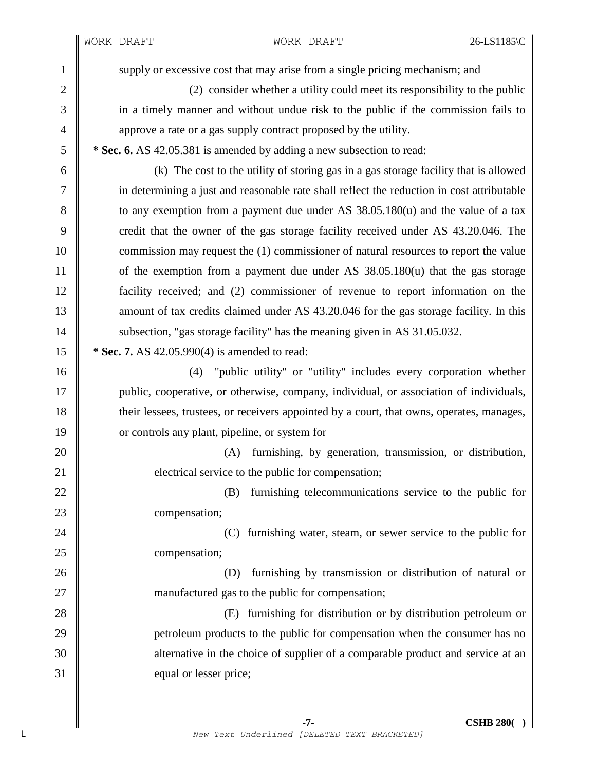1 supply or excessive cost that may arise from a single pricing mechanism; and 2 (2) consider whether a utility could meet its responsibility to the public 3 in a timely manner and without undue risk to the public if the commission fails to 4 approve a rate or a gas supply contract proposed by the utility. 5 **\* Sec. 6.** AS 42.05.381 is amended by adding a new subsection to read: 6 (k) The cost to the utility of storing gas in a gas storage facility that is allowed 7 in determining a just and reasonable rate shall reflect the reduction in cost attributable 8 to any exemption from a payment due under AS 38.05.180(u) and the value of a tax 9 credit that the owner of the gas storage facility received under AS 43.20.046. The 10 commission may request the (1) commissioner of natural resources to report the value 11 of the exemption from a payment due under AS 38.05.180(u) that the gas storage 12 facility received; and (2) commissioner of revenue to report information on the 13 mount of tax credits claimed under AS 43.20.046 for the gas storage facility. In this 14 Subsection, "gas storage facility" has the meaning given in AS 31.05.032. 15 **\*** Sec. 7. AS 42.05.990(4) is amended to read: 16 (4) "public utility" or "utility" includes every corporation whether 17 public, cooperative, or otherwise, company, individual, or association of individuals, 18 their lessees, trustees, or receivers appointed by a court, that owns, operates, manages, 19 or controls any plant, pipeline, or system for 20 (A) furnishing, by generation, transmission, or distribution, 21 **electrical service to the public for compensation;** 22 (B) furnishing telecommunications service to the public for 23 **compensation**; 24 **(C)** furnishing water, steam, or sewer service to the public for 25 **compensation**; 26 (D) furnishing by transmission or distribution of natural or 27 manufactured gas to the public for compensation; 28 (E) furnishing for distribution or by distribution petroleum or 29 petroleum products to the public for compensation when the consumer has no 30 determative in the choice of supplier of a comparable product and service at an 31 equal or lesser price;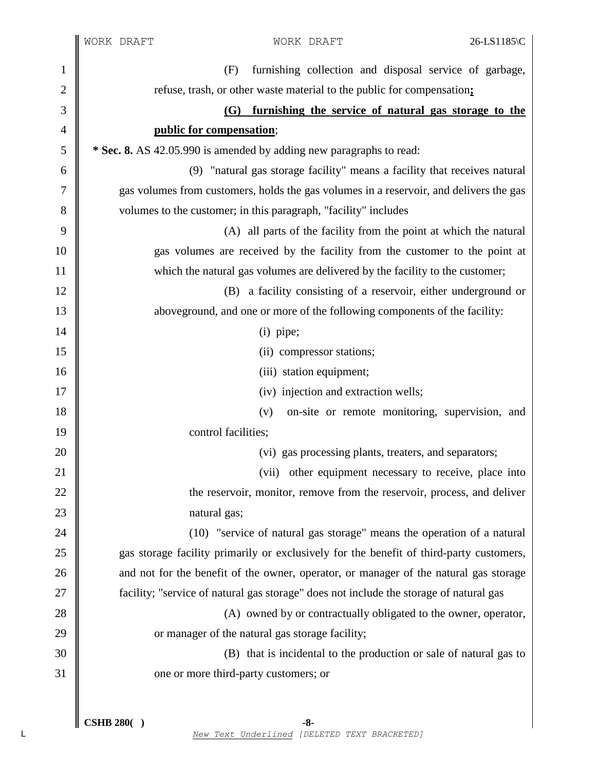|              | WORK DRAFT                                                                             | WORK DRAFT                                                                              | 26-LS1185\C |
|--------------|----------------------------------------------------------------------------------------|-----------------------------------------------------------------------------------------|-------------|
| $\mathbf{1}$ | (F)                                                                                    | furnishing collection and disposal service of garbage,                                  |             |
| 2            |                                                                                        | refuse, trash, or other waste material to the public for compensation:                  |             |
| 3            |                                                                                        | (G) furnishing the service of natural gas storage to the                                |             |
| 4            | public for compensation;                                                               |                                                                                         |             |
| 5            |                                                                                        | * Sec. 8. AS 42.05.990 is amended by adding new paragraphs to read:                     |             |
| 6            |                                                                                        | (9) "natural gas storage facility" means a facility that receives natural               |             |
| 7            | gas volumes from customers, holds the gas volumes in a reservoir, and delivers the gas |                                                                                         |             |
| 8            |                                                                                        | volumes to the customer; in this paragraph, "facility" includes                         |             |
| 9            |                                                                                        | (A) all parts of the facility from the point at which the natural                       |             |
| 10           | gas volumes are received by the facility from the customer to the point at             |                                                                                         |             |
| 11           |                                                                                        | which the natural gas volumes are delivered by the facility to the customer;            |             |
| 12           |                                                                                        | (B) a facility consisting of a reservoir, either underground or                         |             |
| 13           |                                                                                        | aboveground, and one or more of the following components of the facility:               |             |
| 14           |                                                                                        | $(i)$ pipe;                                                                             |             |
| 15           |                                                                                        | (ii) compressor stations;                                                               |             |
| 16           |                                                                                        | (iii) station equipment;                                                                |             |
| 17           |                                                                                        | (iv) injection and extraction wells;                                                    |             |
| 18           |                                                                                        | on-site or remote monitoring, supervision, and<br>(v)                                   |             |
| 19           | control facilities;                                                                    |                                                                                         |             |
| 20           |                                                                                        | (vi) gas processing plants, treaters, and separators;                                   |             |
| 21           |                                                                                        | (vii) other equipment necessary to receive, place into                                  |             |
| 22           |                                                                                        | the reservoir, monitor, remove from the reservoir, process, and deliver                 |             |
| 23           | natural gas;                                                                           |                                                                                         |             |
| 24           |                                                                                        | (10) "service of natural gas storage" means the operation of a natural                  |             |
| 25           |                                                                                        | gas storage facility primarily or exclusively for the benefit of third-party customers, |             |
| 26           |                                                                                        | and not for the benefit of the owner, operator, or manager of the natural gas storage   |             |
| 27           |                                                                                        | facility; "service of natural gas storage" does not include the storage of natural gas  |             |
| 28           |                                                                                        | (A) owned by or contractually obligated to the owner, operator,                         |             |
| 29           |                                                                                        | or manager of the natural gas storage facility;                                         |             |
| 30           |                                                                                        | (B) that is incidental to the production or sale of natural gas to                      |             |
| 31           | one or more third-party customers; or                                                  |                                                                                         |             |
|              |                                                                                        |                                                                                         |             |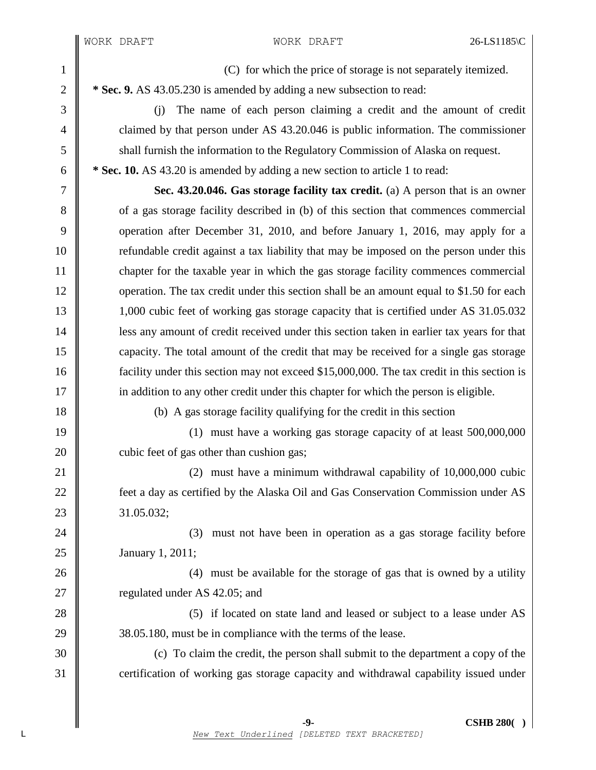I  $\mathbb I$ 

| $\mathbf{1}$     | (C) for which the price of storage is not separately itemized.                             |  |  |
|------------------|--------------------------------------------------------------------------------------------|--|--|
| $\sqrt{2}$       | * Sec. 9. AS 43.05.230 is amended by adding a new subsection to read:                      |  |  |
| 3                | The name of each person claiming a credit and the amount of credit<br>(i)                  |  |  |
| $\overline{4}$   | claimed by that person under AS 43.20.046 is public information. The commissioner          |  |  |
| 5                | shall furnish the information to the Regulatory Commission of Alaska on request.           |  |  |
| $\boldsymbol{6}$ | * Sec. 10. AS 43.20 is amended by adding a new section to article 1 to read:               |  |  |
| $\boldsymbol{7}$ | Sec. 43.20.046. Gas storage facility tax credit. (a) A person that is an owner             |  |  |
| $8\,$            | of a gas storage facility described in (b) of this section that commences commercial       |  |  |
| 9                | operation after December 31, 2010, and before January 1, 2016, may apply for a             |  |  |
| 10               | refundable credit against a tax liability that may be imposed on the person under this     |  |  |
| 11               | chapter for the taxable year in which the gas storage facility commences commercial        |  |  |
| 12               | operation. The tax credit under this section shall be an amount equal to \$1.50 for each   |  |  |
| 13               | 1,000 cubic feet of working gas storage capacity that is certified under AS 31.05.032      |  |  |
| 14               | less any amount of credit received under this section taken in earlier tax years for that  |  |  |
| 15               | capacity. The total amount of the credit that may be received for a single gas storage     |  |  |
| 16               | facility under this section may not exceed \$15,000,000. The tax credit in this section is |  |  |
| 17               | in addition to any other credit under this chapter for which the person is eligible.       |  |  |
| 18               | (b) A gas storage facility qualifying for the credit in this section                       |  |  |
| 19               | (1) must have a working gas storage capacity of at least 500,000,000                       |  |  |
| 20               | cubic feet of gas other than cushion gas;                                                  |  |  |
| 21               | $(2)$ must have a minimum withdrawal capability of 10,000,000 cubic                        |  |  |
| 22               | feet a day as certified by the Alaska Oil and Gas Conservation Commission under AS         |  |  |
| 23               | 31.05.032;                                                                                 |  |  |
| 24               | must not have been in operation as a gas storage facility before<br>(3)                    |  |  |
| 25               | January 1, 2011;                                                                           |  |  |
| 26               | (4) must be available for the storage of gas that is owned by a utility                    |  |  |
| 27               | regulated under AS 42.05; and                                                              |  |  |
| 28               | (5) if located on state land and leased or subject to a lease under AS                     |  |  |
| 29               | 38.05.180, must be in compliance with the terms of the lease.                              |  |  |
| 30               | (c) To claim the credit, the person shall submit to the department a copy of the           |  |  |
| 31               | certification of working gas storage capacity and withdrawal capability issued under       |  |  |
|                  |                                                                                            |  |  |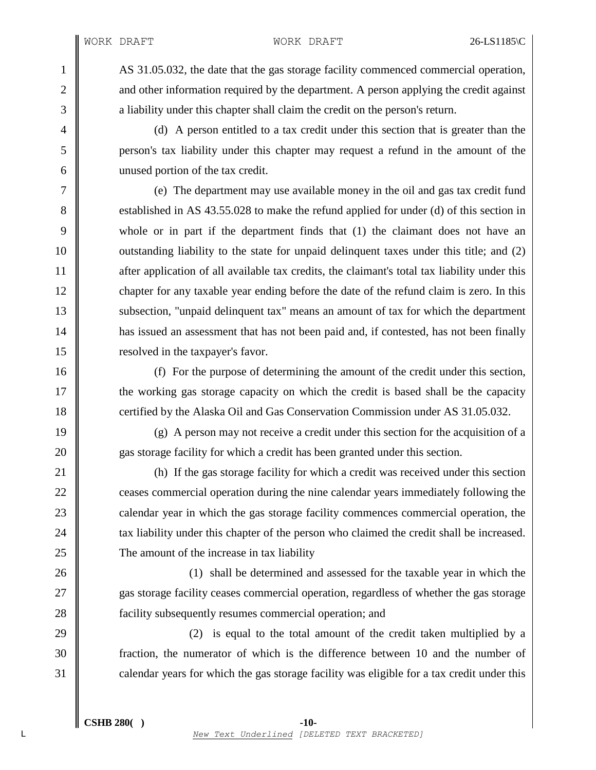WORK DRAFT WORK DRAFT 26-LS1185\C

1 AS 31.05.032, the date that the gas storage facility commenced commercial operation, 2  $\parallel$  and other information required by the department. A person applying the credit against 3 a liability under this chapter shall claim the credit on the person's return.

4 (d) A person entitled to a tax credit under this section that is greater than the 5 person's tax liability under this chapter may request a refund in the amount of the 6 unused portion of the tax credit.

7 (e) The department may use available money in the oil and gas tax credit fund 8 Subset 8 established in AS 43.55.028 to make the refund applied for under (d) of this section in 9 whole or in part if the department finds that (1) the claimant does not have an 10 outstanding liability to the state for unpaid delinquent taxes under this title; and (2) 11 after application of all available tax credits, the claimant's total tax liability under this 12 chapter for any taxable year ending before the date of the refund claim is zero. In this 13 subsection, "unpaid delinquent tax" means an amount of tax for which the department 14 **has issued an assessment that has not been paid and, if contested, has not been finally** 15 **leap 15** resolved in the taxpayer's favor.

16 (f) For the purpose of determining the amount of the credit under this section, 17 the working gas storage capacity on which the credit is based shall be the capacity 18 certified by the Alaska Oil and Gas Conservation Commission under AS 31.05.032.

19  $\parallel$  (g) A person may not receive a credit under this section for the acquisition of a 20 gas storage facility for which a credit has been granted under this section.

21 (h) If the gas storage facility for which a credit was received under this section 22 **ceases commercial operation during the nine calendar years immediately following the** 23 calendar year in which the gas storage facility commences commercial operation, the 24  $\parallel$  tax liability under this chapter of the person who claimed the credit shall be increased. 25 The amount of the increase in tax liability

26 (1) shall be determined and assessed for the taxable year in which the 27 gas storage facility ceases commercial operation, regardless of whether the gas storage 28 **facility subsequently resumes commercial operation; and** 

29  $\parallel$  (2) is equal to the total amount of the credit taken multiplied by a 30 fraction, the numerator of which is the difference between 10 and the number of 31 calendar years for which the gas storage facility was eligible for a tax credit under this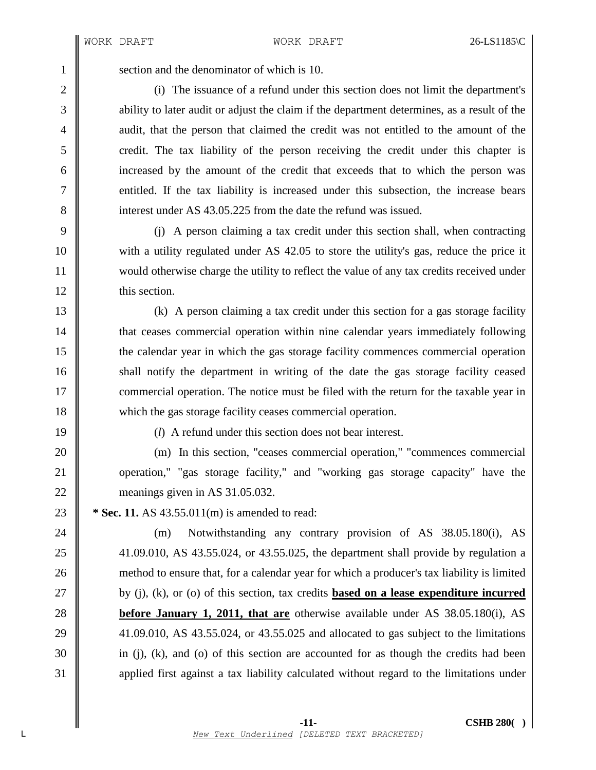1 Section and the denominator of which is 10.

2 (i) The issuance of a refund under this section does not limit the department's 3 ability to later audit or adjust the claim if the department determines, as a result of the 4 audit, that the person that claimed the credit was not entitled to the amount of the 5 credit. The tax liability of the person receiving the credit under this chapter is 6 increased by the amount of the credit that exceeds that to which the person was 7 entitled. If the tax liability is increased under this subsection, the increase bears 8 interest under AS 43.05.225 from the date the refund was issued.

 (j) A person claiming a tax credit under this section shall, when contracting with a utility regulated under AS 42.05 to store the utility's gas, reduce the price it would otherwise charge the utility to reflect the value of any tax credits received under 12 | this section.

 (k) A person claiming a tax credit under this section for a gas storage facility **that ceases commercial operation within nine calendar years immediately following**  the calendar year in which the gas storage facility commences commercial operation 16 shall notify the department in writing of the date the gas storage facility ceased **commercial operation.** The notice must be filed with the return for the taxable year in which the gas storage facility ceases commercial operation.

19 (*l*) A refund under this section does not bear interest.

20 (m) In this section, "ceases commercial operation," "commences commercial 21 operation," "gas storage facility," and "working gas storage capacity" have the 22 meanings given in AS 31.05.032.

23 **\*** Sec. 11. AS 43.55.011(m) is amended to read:

24 (m) Notwithstanding any contrary provision of AS 38.05.180(i), AS 25 41.09.010, AS 43.55.024, or 43.55.025, the department shall provide by regulation a 26 method to ensure that, for a calendar year for which a producer's tax liability is limited 27 by (j), (k), or (o) of this section, tax credits **based on a lease expenditure incurred** 28 **before January 1, 2011, that are** otherwise available under AS 38.05.180(i), AS 29  $\parallel$  41.09.010, AS 43.55.024, or 43.55.025 and allocated to gas subject to the limitations  $30 \parallel$  in (j), (k), and (o) of this section are accounted for as though the credits had been 31 applied first against a tax liability calculated without regard to the limitations under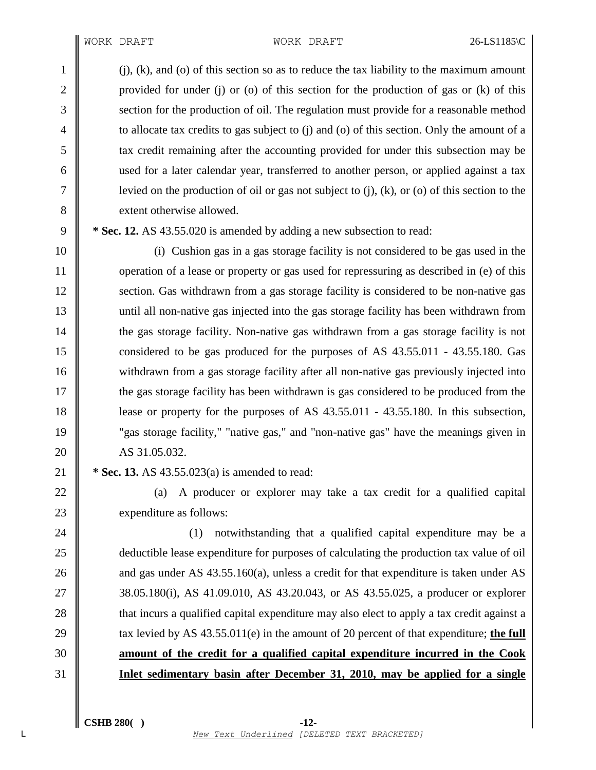#### WORK DRAFT 26-LS1185\C

1 (j), (k), and (o) of this section so as to reduce the tax liability to the maximum amount 2 provided for under (j) or (o) of this section for the production of gas or (k) of this 3 Superior Section for the production of oil. The regulation must provide for a reasonable method 4 to allocate tax credits to gas subject to (j) and (o) of this section. Only the amount of a 5 tax credit remaining after the accounting provided for under this subsection may be 6 used for a later calendar year, transferred to another person, or applied against a tax 7 | levied on the production of oil or gas not subject to (j), (k), or (o) of this section to the 8 **S** extent otherwise allowed.

9 **\* Sec. 12.** AS 43.55.020 is amended by adding a new subsection to read:

 (i) Cushion gas in a gas storage facility is not considered to be gas used in the 11 operation of a lease or property or gas used for repressuring as described in (e) of this 12 Section. Gas withdrawn from a gas storage facility is considered to be non-native gas until all non-native gas injected into the gas storage facility has been withdrawn from 14 the gas storage facility. Non-native gas withdrawn from a gas storage facility is not considered to be gas produced for the purposes of AS 43.55.011 - 43.55.180. Gas withdrawn from a gas storage facility after all non-native gas previously injected into the gas storage facility has been withdrawn is gas considered to be produced from the **lease or property for the purposes of AS 43.55.011 - 43.55.180.** In this subsection, "gas storage facility," "native gas," and "non-native gas" have the meanings given in 20 AS 31.05.032.

21 **\* Sec. 13.** AS 43.55.023(a) is amended to read:

22  $\parallel$  (a) A producer or explorer may take a tax credit for a qualified capital 23 expenditure as follows:

 $\parallel$  (1) notwithstanding that a qualified capital expenditure may be a deductible lease expenditure for purposes of calculating the production tax value of oil  $\parallel$  and gas under AS 43.55.160(a), unless a credit for that expenditure is taken under AS 38.05.180(i), AS 41.09.010, AS 43.20.043, or AS 43.55.025, a producer or explorer 28 that incurs a qualified capital expenditure may also elect to apply a tax credit against a  $\parallel$  tax levied by AS 43.55.011(e) in the amount of 20 percent of that expenditure; the full **amount of the credit for a qualified capital expenditure incurred in the Cook Inlet sedimentary basin after December 31, 2010, may be applied for a single**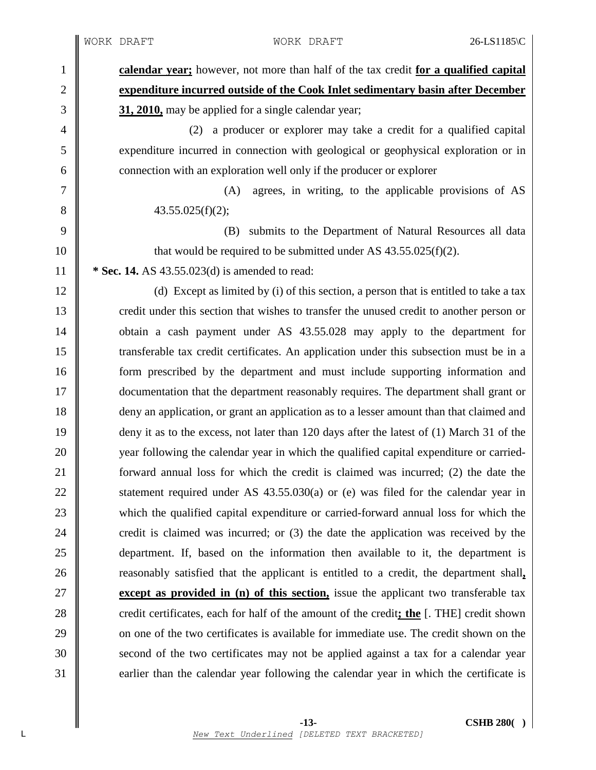1 **calendar year;** however, not more than half of the tax credit **for a qualified capital** 2 **expenditure incurred outside of the Cook Inlet sedimentary basin after December** 3 **31, 2010,** may be applied for a single calendar year;

4 (2) a producer or explorer may take a credit for a qualified capital 5 expenditure incurred in connection with geological or geophysical exploration or in  $\begin{array}{c|c}\n6 & \text{connection with an exploration well only if the producer or explorer}\n\end{array}$ 

7 (A) agrees, in writing, to the applicable provisions of AS 8  $\parallel$  43.55.025(f)(2);

9 (B) submits to the Department of Natural Resources all data 10  $\parallel$  that would be required to be submitted under AS 43.55.025(f)(2). 11 **\* Sec. 14.** AS 43.55.023(d) is amended to read:

12 (d) Except as limited by (i) of this section, a person that is entitled to take a tax 13 credit under this section that wishes to transfer the unused credit to another person or 14 obtain a cash payment under AS 43.55.028 may apply to the department for 15 transferable tax credit certificates. An application under this subsection must be in a 16 form prescribed by the department and must include supporting information and 17 documentation that the department reasonably requires. The department shall grant or 18 deny an application, or grant an application as to a lesser amount than that claimed and 19 deny it as to the excess, not later than 120 days after the latest of (1) March 31 of the 20 year following the calendar year in which the qualified capital expenditure or carried-21 **forward annual loss for which the credit is claimed was incurred; (2) the date the** 22  $\parallel$  statement required under AS 43.55.030(a) or (e) was filed for the calendar year in 23 which the qualified capital expenditure or carried-forward annual loss for which the 24  $\parallel$  credit is claimed was incurred; or (3) the date the application was received by the 25 department. If, based on the information then available to it, the department is 26 **reasonably satisfied that the applicant is entitled to a credit, the department shall,** 27 **except as provided in (n) of this section,** issue the applicant two transferable tax 28 credit certificates, each for half of the amount of the credit; the [. THE] credit shown 29  $\parallel$  on one of the two certificates is available for immediate use. The credit shown on the 30 second of the two certificates may not be applied against a tax for a calendar year 31 earlier than the calendar year following the calendar year in which the certificate is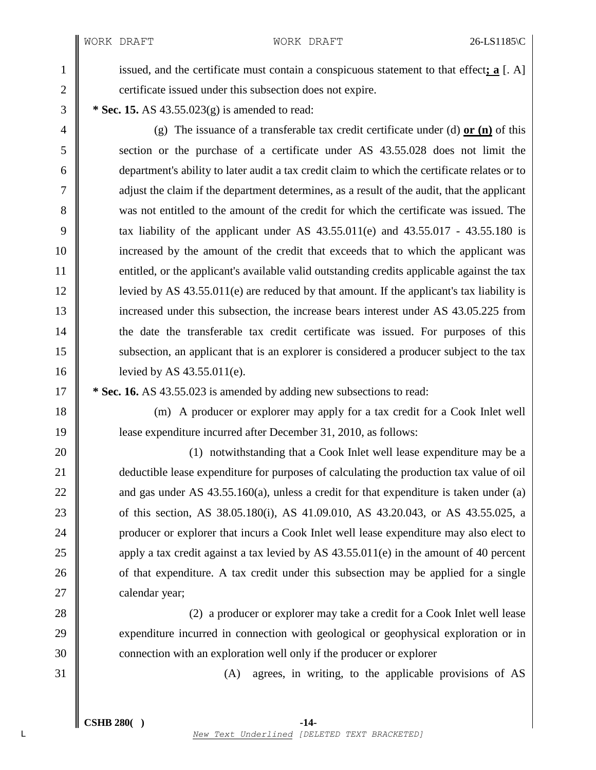WORK DRAFT WORK DRAFT 26-LS1185\C

1 issued, and the certificate must contain a conspicuous statement to that effect; **a** [. A] 2 certificate issued under this subsection does not expire.

3 **\* Sec. 15.** AS 43.55.023(g) is amended to read:

 (g) The issuance of a transferable tax credit certificate under (d) **or (n)** of this section or the purchase of a certificate under AS 43.55.028 does not limit the department's ability to later audit a tax credit claim to which the certificate relates or to adjust the claim if the department determines, as a result of the audit, that the applicant was not entitled to the amount of the credit for which the certificate was issued. The 9 tax liability of the applicant under AS  $43.55.011(e)$  and  $43.55.017 - 43.55.180$  is increased by the amount of the credit that exceeds that to which the applicant was 11 entitled, or the applicant's available valid outstanding credits applicable against the tax 12 | levied by AS  $43.55.011(e)$  are reduced by that amount. If the applicant's tax liability is 13 increased under this subsection, the increase bears interest under AS 43.05.225 from the date the transferable tax credit certificate was issued. For purposes of this subsection, an applicant that is an explorer is considered a producer subject to the tax 16 | levied by AS 43.55.011(e).

17 **\* Sec. 16.** AS 43.55.023 is amended by adding new subsections to read:

18 (m) A producer or explorer may apply for a tax credit for a Cook Inlet well 19 lease expenditure incurred after December 31, 2010, as follows:

**(1)** notwithstanding that a Cook Inlet well lease expenditure may be a 21 deductible lease expenditure for purposes of calculating the production tax value of oil  $\parallel$  and gas under AS 43.55.160(a), unless a credit for that expenditure is taken under (a) **of this section, AS 38.05.180(i), AS 41.09.010, AS 43.20.043, or AS 43.55.025, a producer or explorer that incurs a Cook Inlet well lease expenditure may also elect to**  $\parallel$  apply a tax credit against a tax levied by AS 43.55.011(e) in the amount of 40 percent **o** of that expenditure. A tax credit under this subsection may be applied for a single 27 calendar year;

28 (2) a producer or explorer may take a credit for a Cook Inlet well lease 29 expenditure incurred in connection with geological or geophysical exploration or in 30 **connection** with an exploration well only if the producer or explorer

31 (A) agrees, in writing, to the applicable provisions of AS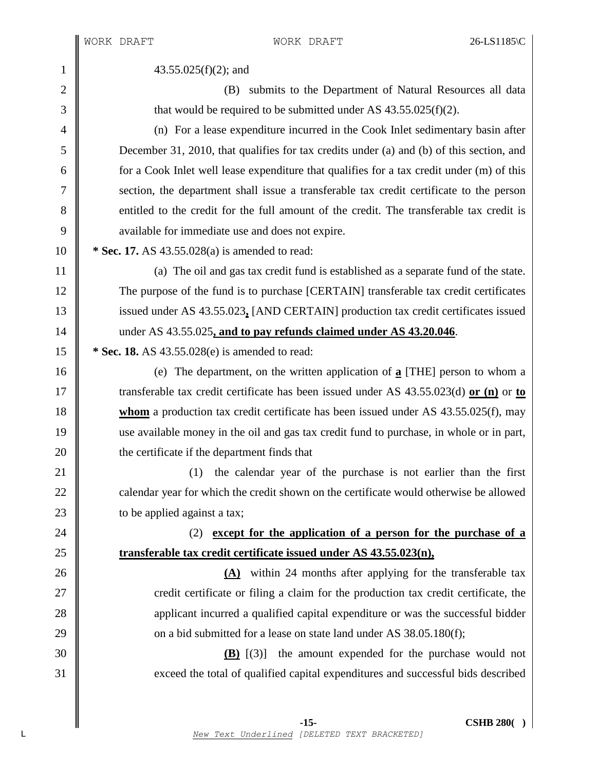1  $\parallel$  43.55.025(f)(2); and

2 || (B) submits to the Department of Natural Resources all data  $3 \parallel$  that would be required to be submitted under AS 43.55.025(f)(2).

 (n) For a lease expenditure incurred in the Cook Inlet sedimentary basin after December 31, 2010, that qualifies for tax credits under (a) and (b) of this section, and  $\parallel$  for a Cook Inlet well lease expenditure that qualifies for a tax credit under (m) of this section, the department shall issue a transferable tax credit certificate to the person 8 entitled to the credit for the full amount of the credit. The transferable tax credit is 9 vailable for immediate use and does not expire.

10 **\* Sec. 17.** AS 43.55.028(a) is amended to read:

11 | (a) The oil and gas tax credit fund is established as a separate fund of the state. 12 The purpose of the fund is to purchase [CERTAIN] transferable tax credit certificates 13 issued under AS 43.55.023**,** [AND CERTAIN] production tax credit certificates issued 14 under AS 43.55.025**, and to pay refunds claimed under AS 43.20.046**.

15 **\* Sec. 18.** AS 43.55.028(e) is amended to read:

 (e) The department, on the written application of **a** [THE] person to whom a transferable tax credit certificate has been issued under AS 43.55.023(d) **or (n)** or **to whom** a production tax credit certificate has been issued under AS 43.55.025(f), may use available money in the oil and gas tax credit fund to purchase, in whole or in part, **the certificate if the department finds that** 

21 || (1) the calendar year of the purchase is not earlier than the first 22 calendar year for which the credit shown on the certificate would otherwise be allowed 23  $\parallel$  to be applied against a tax;

24 (2) **except for the application of a person for the purchase of a** 25 **transferable tax credit certificate issued under AS 43.55.023(n),**

**(A)** within 24 months after applying for the transferable tax  $27 \parallel$  credit certificate or filing a claim for the production tax credit certificate, the **a** applicant incurred a qualified capital expenditure or was the successful bidder  $\parallel$  on a bid submitted for a lease on state land under AS 38.05.180(f);

30 **(B)** [(3)] the amount expended for the purchase would not 31 exceed the total of qualified capital expenditures and successful bids described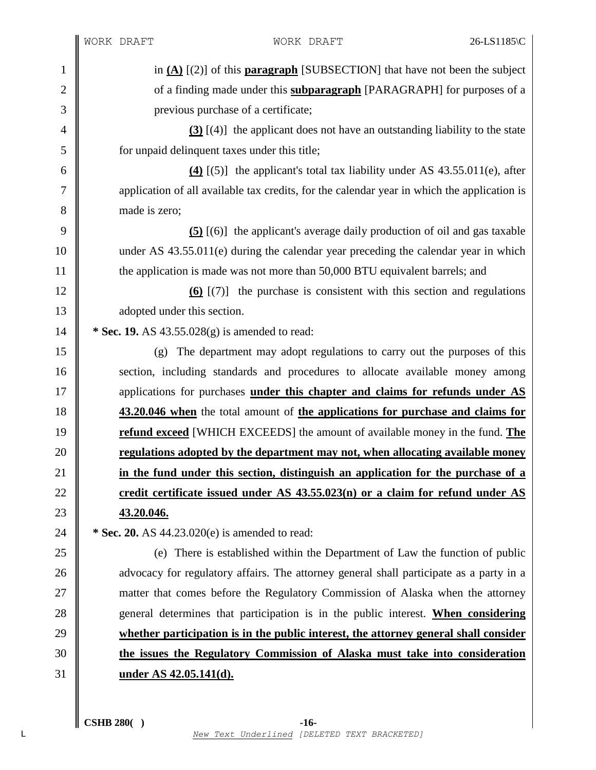∥

| $\mathbf{1}$   | in $(A)$ [(2)] of this <b>paragraph</b> [SUBSECTION] that have not been the subject         |  |
|----------------|---------------------------------------------------------------------------------------------|--|
| $\overline{2}$ | of a finding made under this <b>subparagraph</b> [PARAGRAPH] for purposes of a              |  |
| 3              | previous purchase of a certificate;                                                         |  |
| $\overline{4}$ | $(3)$ [(4)] the applicant does not have an outstanding liability to the state               |  |
| 5              | for unpaid delinquent taxes under this title;                                               |  |
| 6              | $(4)$ [(5)] the applicant's total tax liability under AS 43.55.011(e), after                |  |
| 7              | application of all available tax credits, for the calendar year in which the application is |  |
| 8              | made is zero;                                                                               |  |
| 9              | $(5)$ [(6)] the applicant's average daily production of oil and gas taxable                 |  |
| 10             | under AS 43.55.011(e) during the calendar year preceding the calendar year in which         |  |
| 11             | the application is made was not more than 50,000 BTU equivalent barrels; and                |  |
| 12             | $(6)$ $(7)$ the purchase is consistent with this section and regulations                    |  |
| 13             | adopted under this section.                                                                 |  |
| 14             | * Sec. 19. AS $43.55.028(g)$ is amended to read:                                            |  |
| 15             | The department may adopt regulations to carry out the purposes of this<br>(g)               |  |
| 16             | section, including standards and procedures to allocate available money among               |  |
| 17             | applications for purchases under this chapter and claims for refunds under AS               |  |
| 18             | 43.20.046 when the total amount of the applications for purchase and claims for             |  |
| 19             | refund exceed [WHICH EXCEEDS] the amount of available money in the fund. The                |  |
| 20             | regulations adopted by the department may not, when allocating available money              |  |
| 21             | in the fund under this section, distinguish an application for the purchase of a            |  |
| 22             | credit certificate issued under AS 43.55.023(n) or a claim for refund under AS              |  |
| 23             | 43.20.046.                                                                                  |  |
| 24             | * Sec. 20. AS 44.23.020(e) is amended to read:                                              |  |
| 25             | (e) There is established within the Department of Law the function of public                |  |
| 26             | advocacy for regulatory affairs. The attorney general shall participate as a party in a     |  |
| 27             | matter that comes before the Regulatory Commission of Alaska when the attorney              |  |
| 28             | general determines that participation is in the public interest. When considering           |  |
| 29             | whether participation is in the public interest, the attorney general shall consider        |  |
| 30             | the issues the Regulatory Commission of Alaska must take into consideration                 |  |
| 31             | under AS 42.05.141(d).                                                                      |  |